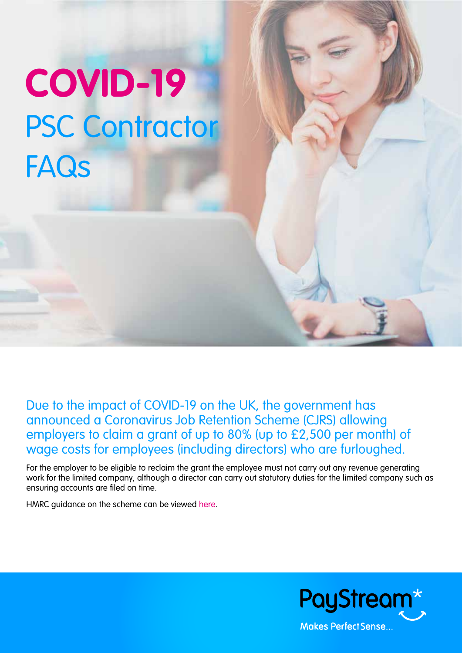# **COVID-19** PSC Contractor **FAQs**

Due to the impact of COVID-19 on the UK, the government has announced a Coronavirus Job Retention Scheme (CJRS) allowing employers to claim a grant of up to 80% (up to £2,500 per month) of wage costs for employees (including directors) who are furloughed.

For the employer to be eligible to reclaim the grant the employee must not carry out any revenue generating work for the limited company, although a director can carry out statutory duties for the limited company such as ensuring accounts are filed on time.

HMRC guidance on the scheme can be viewed [here.](https://www.gov.uk/guidance/claim-for-wage-costs-through-the-coronavirus-job-retention-scheme)

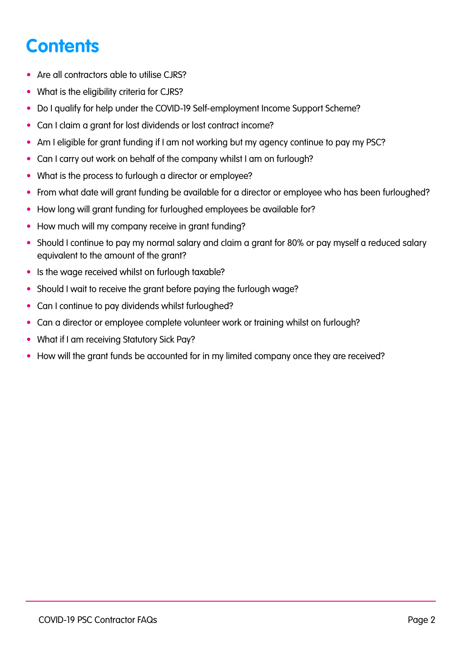# <span id="page-1-0"></span>**Contents**

- [Are all contractors able to utilise CJRS?](#page-2-0)
- [What is the eligibility criteria for CJRS?](#page-2-0)
- [Do I qualify for help under the COVID-19 Self-employment Income Support Scheme?](#page-2-0)
- [Can I claim a grant for lost dividends or lost contract income?](#page-2-0)
- [Am I eligible for grant funding if I am not working but my agency continue to pay my PSC?](#page-2-0)
- [Can I carry out work on behalf of the company whilst I am on furlough?](#page-2-0)
- [What is the process to furlough a director or employee?](#page-2-0)
- [From what date will grant funding be available for a director or employee who has been furloughed?](#page-2-0)
- [How long will grant funding for furloughed employees be available for?](#page-2-0)
- [How much will my company receive in grant funding?](#page-3-0)
- [Should I continue to pay my normal salary and claim a grant for 80% or pay myself a reduced salary](#page-3-0)  [equivalent to the amount of the grant?](#page-3-0)
- [Is the wage received whilst on furlough taxable?](#page-3-0)
- [Should I wait to receive the grant before paying the furlough wage?](#page-3-0)
- [Can I continue to pay dividends whilst furloughed?](#page-3-0)
- [Can a director or employee complete volunteer work or training whilst on furlough?](#page-3-0)
- [What if I am receiving Statutory Sick Pay?](#page-3-0)
- [How will the grant funds be accounted for in my limited company once they are received?](#page-3-0)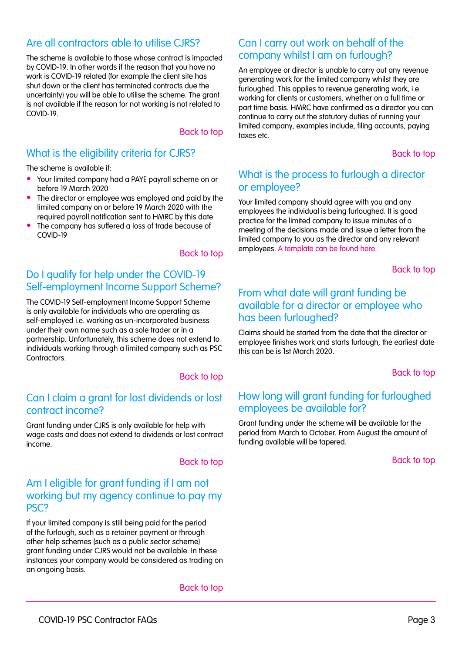# <span id="page-2-0"></span>Are all contractors able to utilise CJRS?

The scheme is available to those whose contract is impacted by COVID-19. In other words if the reason that you have no work is COVID-19 related (for example the client site has shut down or the client has terminated contracts due the uncertainty) you will be able to utilise the scheme. The grant is not available if the reason for not working is not related to COVID-19.

#### [Back to top](#page-1-0)

# What is the eligibility criteria for CJRS?

The scheme is available if:

- Your limited company had a PAYE payroll scheme on or before 19 March 2020
- The director or employee was employed and paid by the limited company on or before 19 March 2020 with the required payroll notification sent to HMRC by this date
- The company has suffered a loss of trade because of COVID-19

#### [Back to top](#page-1-0)

## Do I qualify for help under the COVID-19 Self-employment Income Support Scheme?

The COVID-19 Self-employment Income Support Scheme is only available for individuals who are operating as self-employed i.e. working as un-incorporated business under their own name such as a sole trader or in a partnership. Unfortunately, this scheme does not extend to individuals working through a limited company such as PSC **Contractors** 

#### [Back to top](#page-1-0)

#### Can I claim a grant for lost dividends or lost contract income?

Grant funding under CJRS is only available for help with wage costs and does not extend to dividends or lost contract income.

#### [Back to top](#page-1-0)

#### Am I eligible for grant funding if I am not working but my agency continue to pay my PSC?

If your limited company is still being paid for the period of the furlough, such as a retainer payment or through other help schemes (such as a public sector scheme) grant funding under CJRS would not be available. In these instances your company would be considered as trading on an ongoing basis.

[Back to top](#page-1-0)

#### Can I carry out work on behalf of the company whilst I am on furlough?

An employee or director is unable to carry out any revenue generating work for the limited company whilst they are furloughed. This applies to revenue generating work, i.e. working for clients or customers, whether on a full time or part time basis. HMRC have confirmed as a director you can continue to carry out the statutory duties of running your limited company, examples include, filing accounts, paying taxes etc.

[Back to top](#page-1-0)

#### What is the process to furlough a director or employee?

Your limited company should agree with you and any employees the individual is being furloughed. It is good practice for the limited company to issue minutes of a meeting of the decisions made and issue a letter from the limited company to you as the director and any relevant employees. [A template can be found here](https://www.paystream.co.uk/sl/psc-furlough-docs/).

[Back to top](#page-1-0)

#### From what date will grant funding be available for a director or employee who has been furloughed?

Claims should be started from the date that the director or employee finishes work and starts furlough, the earliest date this can be is 1st March 2020.

[Back to top](#page-1-0)

#### How long will grant funding for furloughed employees be available for?

Grant funding under the scheme will be available for the period from March to October. From August the amount of funding available will be tapered.

[Back to top](#page-1-0)